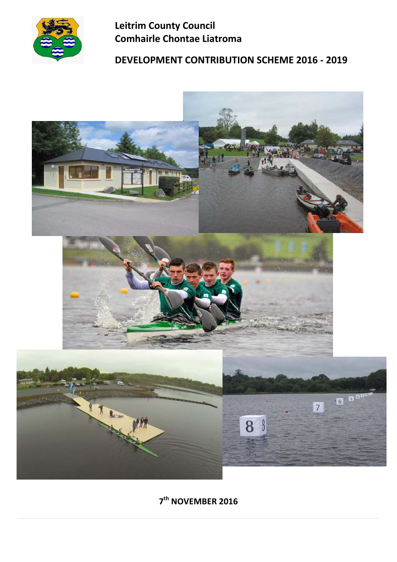

# **Leitrim County Council Comhairle Chontae Liatroma**

# **DEVELOPMENT CONTRIBUTION SCHEME 2016 ‐ 2019**



# **7th NOVEMBER 2016**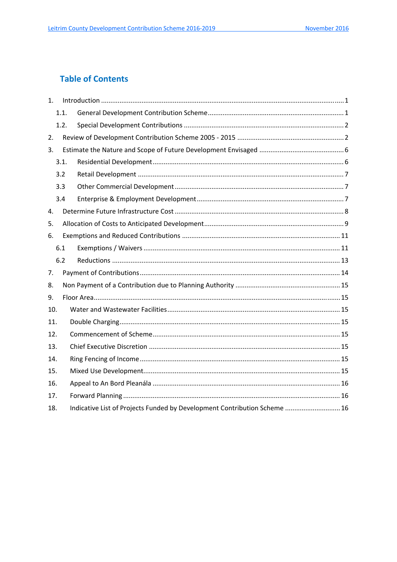# **Table of Contents**

| $1_{-}$ |      | Introduction 1.1                                                          |
|---------|------|---------------------------------------------------------------------------|
|         | 1.1. |                                                                           |
|         | 1.2. |                                                                           |
| 2.      |      |                                                                           |
| 3.      |      |                                                                           |
|         | 3.1. |                                                                           |
|         | 3.2  |                                                                           |
|         | 3.3  |                                                                           |
|         | 3.4  |                                                                           |
| 4.      |      |                                                                           |
| 5.      |      |                                                                           |
| 6.      |      |                                                                           |
|         | 6.1  |                                                                           |
|         | 6.2  |                                                                           |
| 7.      |      |                                                                           |
| 8.      |      |                                                                           |
| 9.      |      |                                                                           |
| 10.     |      |                                                                           |
| 11.     |      |                                                                           |
| 12.     |      |                                                                           |
| 13.     |      |                                                                           |
| 14.     |      |                                                                           |
| 15.     |      |                                                                           |
| 16.     |      |                                                                           |
| 17.     |      |                                                                           |
| 18.     |      | Indicative List of Projects Funded by Development Contribution Scheme  16 |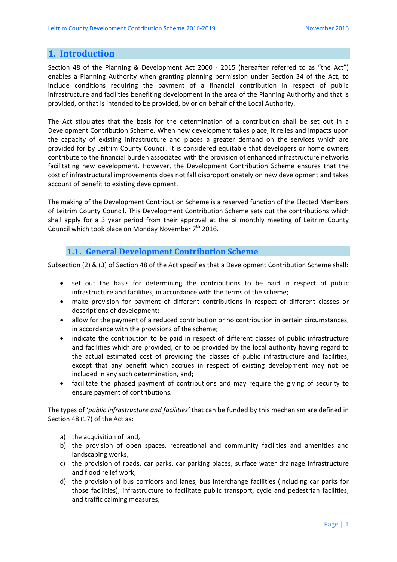# **1. Introduction**

Section 48 of the Planning & Development Act 2000 - 2015 (hereafter referred to as "the Act") enables a Planning Authority when granting planning permission under Section 34 of the Act, to include conditions requiring the payment of a financial contribution in respect of public infrastructure and facilities benefiting development in the area of the Planning Authority and that is provided, or that is intended to be provided, by or on behalf of the Local Authority.

The Act stipulates that the basis for the determination of a contribution shall be set out in a Development Contribution Scheme. When new development takes place, it relies and impacts upon the capacity of existing infrastructure and places a greater demand on the services which are provided for by Leitrim County Council. It is considered equitable that developers or home owners contribute to the financial burden associated with the provision of enhanced infrastructure networks facilitating new development. However, the Development Contribution Scheme ensures that the cost of infrastructural improvements does not fall disproportionately on new development and takes account of benefit to existing development.

The making of the Development Contribution Scheme is a reserved function of the Elected Members of Leitrim County Council. This Development Contribution Scheme sets out the contributions which shall apply for a 3 year period from their approval at the bi monthly meeting of Leitrim County Council which took place on Monday November  $7<sup>th</sup>$  2016.

#### **1.1. General Development Contribution Scheme**

Subsection (2) & (3) of Section 48 of the Act specifies that a Development Contribution Scheme shall:

- set out the basis for determining the contributions to be paid in respect of public infrastructure and facilities, in accordance with the terms of the scheme;
- make provision for payment of different contributions in respect of different classes or descriptions of development;
- allow for the payment of a reduced contribution or no contribution in certain circumstances, in accordance with the provisions of the scheme;
- indicate the contribution to be paid in respect of different classes of public infrastructure and facilities which are provided, or to be provided by the local authority having regard to the actual estimated cost of providing the classes of public infrastructure and facilities, except that any benefit which accrues in respect of existing development may not be included in any such determination, and;
- facilitate the phased payment of contributions and may require the giving of security to ensure payment of contributions.

The types of '*public infrastructure and facilities'* that can be funded by this mechanism are defined in Section 48 (17) of the Act as;

- a) the acquisition of land.
- b) the provision of open spaces, recreational and community facilities and amenities and landscaping works,
- c) the provision of roads, car parks, car parking places, surface water drainage infrastructure and flood relief work,
- d) the provision of bus corridors and lanes, bus interchange facilities (including car parks for those facilities), infrastructure to facilitate public transport, cycle and pedestrian facilities, and traffic calming measures,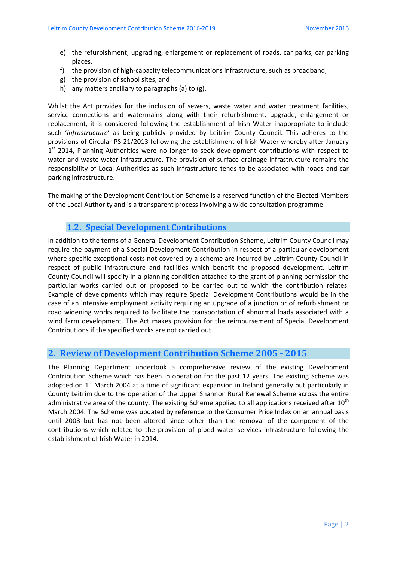- e) the refurbishment, upgrading, enlargement or replacement of roads, car parks, car parking places,
- f) the provision of high-capacity telecommunications infrastructure, such as broadband,
- g) the provision of school sites, and
- h) any matters ancillary to paragraphs (a) to (g).

Whilst the Act provides for the inclusion of sewers, waste water and water treatment facilities, service connections and watermains along with their refurbishment, upgrade, enlargement or replacement, it is considered following the establishment of Irish Water inappropriate to include such '*infrastructure*' as being publicly provided by Leitrim County Council. This adheres to the provisions of Circular PS 21/2013 following the establishment of Irish Water whereby after January  $1<sup>st</sup>$  2014, Planning Authorities were no longer to seek development contributions with respect to water and waste water infrastructure. The provision of surface drainage infrastructure remains the responsibility of Local Authorities as such infrastructure tends to be associated with roads and car parking infrastructure.

The making of the Development Contribution Scheme is a reserved function of the Elected Members of the Local Authority and is a transparent process involving a wide consultation programme.

# **1.2. Special Development Contributions**

In addition to the terms of a General Development Contribution Scheme, Leitrim County Council may require the payment of a Special Development Contribution in respect of a particular development where specific exceptional costs not covered by a scheme are incurred by Leitrim County Council in respect of public infrastructure and facilities which benefit the proposed development. Leitrim County Council will specify in a planning condition attached to the grant of planning permission the particular works carried out or proposed to be carried out to which the contribution relates. Example of developments which may require Special Development Contributions would be in the case of an intensive employment activity requiring an upgrade of a junction or of refurbishment or road widening works required to facilitate the transportation of abnormal loads associated with a wind farm development. The Act makes provision for the reimbursement of Special Development Contributions if the specified works are not carried out.

# **2. Review of Development Contribution Scheme 2005 ‐ 2015**

The Planning Department undertook a comprehensive review of the existing Development Contribution Scheme which has been in operation for the past 12 years. The existing Scheme was adopted on  $1<sup>st</sup>$  March 2004 at a time of significant expansion in Ireland generally but particularly in County Leitrim due to the operation of the Upper Shannon Rural Renewal Scheme across the entire administrative area of the county. The existing Scheme applied to all applications received after  $10^{th}$ March 2004. The Scheme was updated by reference to the Consumer Price Index on an annual basis until 2008 but has not been altered since other than the removal of the component of the contributions which related to the provision of piped water services infrastructure following the establishment of Irish Water in 2014.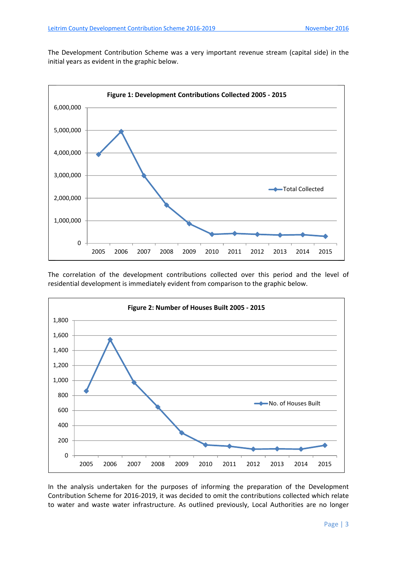The Development Contribution Scheme was a very important revenue stream (capital side) in the initial years as evident in the graphic below.



The correlation of the development contributions collected over this period and the level of residential development is immediately evident from comparison to the graphic below.



In the analysis undertaken for the purposes of informing the preparation of the Development Contribution Scheme for 2016‐2019, it was decided to omit the contributions collected which relate to water and waste water infrastructure. As outlined previously, Local Authorities are no longer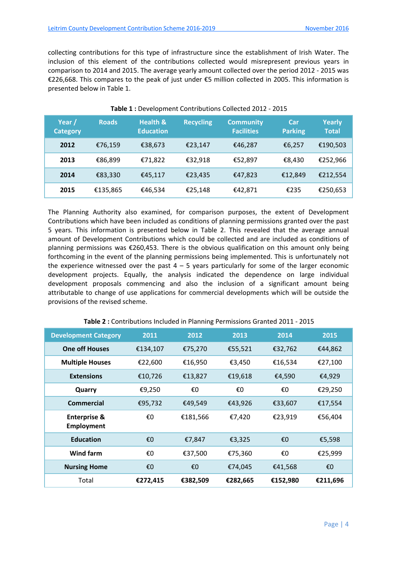collecting contributions for this type of infrastructure since the establishment of Irish Water. The inclusion of this element of the contributions collected would misrepresent previous years in comparison to 2014 and 2015. The average yearly amount collected over the period 2012 ‐ 2015 was €226,668. This compares to the peak of just under €5 million collected in 2005. This information is presented below in Table 1.

| Year /<br><b>Category</b> | <b>Roads</b> | <b>Health &amp;</b><br><b>Education</b> | <b>Recycling</b> | <b>Community</b><br><b>Facilities</b> | Car<br><b>Parking</b> | <b>Yearly</b><br><b>Total</b> |
|---------------------------|--------------|-----------------------------------------|------------------|---------------------------------------|-----------------------|-------------------------------|
| 2012                      | €76,159      | €38,673                                 | €23,147          | €46,287                               | €6,257                | €190,503                      |
| 2013                      | €86,899      | €71,822                                 | €32,918          | €52,897                               | €8,430                | €252,966                      |
| 2014                      | €83,330      | €45,117                                 | €23,435          | €47,823                               | €12,849               | €212,554                      |
| 2015                      | €135,865     | €46,534                                 | €25,148          | €42,871                               | €235                  | €250,653                      |

**Table 1 :** Development Contributions Collected 2012 ‐ 2015

The Planning Authority also examined, for comparison purposes, the extent of Development Contributions which have been included as conditions of planning permissions granted over the past 5 years. This information is presented below in Table 2. This revealed that the average annual amount of Development Contributions which could be collected and are included as conditions of planning permissions was €260,453. There is the obvious qualification on this amount only being forthcoming in the event of the planning permissions being implemented. This is unfortunately not the experience witnessed over the past  $4 - 5$  years particularly for some of the larger economic development projects. Equally, the analysis indicated the dependence on large individual development proposals commencing and also the inclusion of a significant amount being attributable to change of use applications for commercial developments which will be outside the provisions of the revised scheme.

| <b>Development Category</b>           | 2011     | 2012     | 2013     | 2014     | 2015     |
|---------------------------------------|----------|----------|----------|----------|----------|
| <b>One off Houses</b>                 | €134,107 | €75,270  | €55,521  | €32,762  | €44,862  |
| <b>Multiple Houses</b>                | €22,600  | €16,950  | €3,450   | €16,534  | €27,100  |
| <b>Extensions</b>                     | €10,726  | €13,827  | €19,618  | €4,590   | €4,929   |
| Quarry                                | €9,250   | €0       | €0       | €0       | €29,250  |
| <b>Commercial</b>                     | €95,732  | €49,549  | €43,926  | €33,607  | €17,554  |
| <b>Enterprise &amp;</b><br>Employment | €0       | €181,566 | €7,420   | €23,919  | €56,404  |
| <b>Education</b>                      | €0       | €7,847   | €3,325   | €0       | €5,598   |
| Wind farm                             | €0       | €37,500  | €75,360  | €0       | €25,999  |
| <b>Nursing Home</b>                   | €0       | €0       | €74,045  | €41,568  | €0       |
| Total                                 | €272,415 | €382,509 | €282,665 | €152,980 | €211,696 |

**Table 2 :** Contributions Included in Planning Permissions Granted 2011 ‐ 2015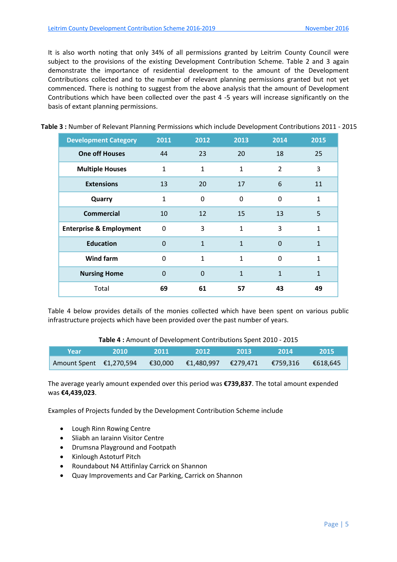It is also worth noting that only 34% of all permissions granted by Leitrim County Council were subject to the provisions of the existing Development Contribution Scheme. Table 2 and 3 again demonstrate the importance of residential development to the amount of the Development Contributions collected and to the number of relevant planning permissions granted but not yet commenced. There is nothing to suggest from the above analysis that the amount of Development Contributions which have been collected over the past 4 ‐5 years will increase significantly on the basis of extant planning permissions.

| <b>Development Category</b>        | 2011           | 2012         | 2013         | 2014           | 2015         |
|------------------------------------|----------------|--------------|--------------|----------------|--------------|
| <b>One off Houses</b>              | 44             | 23           | 20           | 18             | 25           |
| <b>Multiple Houses</b>             | $\mathbf{1}$   | 1            | 1            | $\overline{2}$ | 3            |
| <b>Extensions</b>                  | 13             | 20           | 17           | 6              | 11           |
| Quarry                             | $\mathbf{1}$   | $\Omega$     | 0            | 0              | $\mathbf{1}$ |
| <b>Commercial</b>                  | 10             | 12           | 15           | 13             | 5            |
| <b>Enterprise &amp; Employment</b> | $\Omega$       | 3            | $\mathbf{1}$ | 3              | $\mathbf{1}$ |
| <b>Education</b>                   | $\Omega$       | $\mathbf{1}$ | $\mathbf{1}$ | $\Omega$       | $\mathbf{1}$ |
| <b>Wind farm</b>                   | $\overline{0}$ | $\mathbf{1}$ | $\mathbf{1}$ | $\Omega$       | 1            |
| <b>Nursing Home</b>                | $\Omega$       | $\Omega$     | $\mathbf{1}$ | $\mathbf{1}$   | $\mathbf{1}$ |
| Total                              | 69             | 61           | 57           | 43             | 49           |

|  | Table 3: Number of Relevant Planning Permissions which include Development Contributions 2011 - 2015 |  |
|--|------------------------------------------------------------------------------------------------------|--|
|--|------------------------------------------------------------------------------------------------------|--|

Table 4 below provides details of the monies collected which have been spent on various public infrastructure projects which have been provided over the past number of years.

**Table 4 :** Amount of Development Contributions Spent 2010 ‐ 2015

| Year                                                                  | $\blacktriangledown$ 2010 $\blacktriangledown$ | -2011- | 2012 | -2013- | - 2014. | -2015 |
|-----------------------------------------------------------------------|------------------------------------------------|--------|------|--------|---------|-------|
| Amount Spent €1,270,594 €30,000 €1,480,997 €279,471 €759,316 €618,645 |                                                |        |      |        |         |       |

The average yearly amount expended over this period was **€739,837**. The total amount expended was **€4,439,023**.

Examples of Projects funded by the Development Contribution Scheme include

- Lough Rinn Rowing Centre
- Sliabh an Iarainn Visitor Centre
- Drumsna Playground and Footpath
- Kinlough Astoturf Pitch
- Roundabout N4 Attifinlay Carrick on Shannon
- Quay Improvements and Car Parking, Carrick on Shannon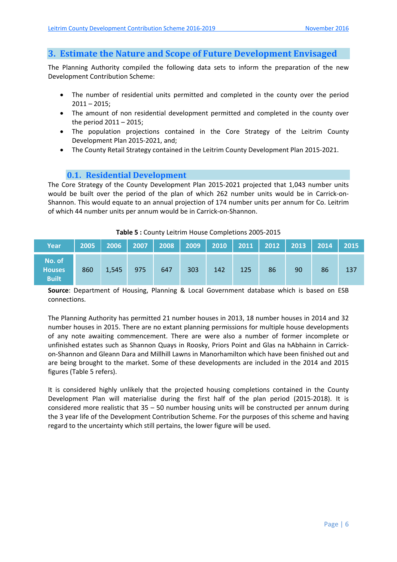# **3. Estimate the Nature and Scope of Future Development Envisaged**

The Planning Authority compiled the following data sets to inform the preparation of the new Development Contribution Scheme:

- The number of residential units permitted and completed in the county over the period  $2011 - 2015$ ;
- The amount of non residential development permitted and completed in the county over the period 2011 – 2015;
- The population projections contained in the Core Strategy of the Leitrim County Development Plan 2015‐2021, and;
- The County Retail Strategy contained in the Leitrim County Development Plan 2015‐2021.

### **0.1. Residential Development**

The Core Strategy of the County Development Plan 2015‐2021 projected that 1,043 number units would be built over the period of the plan of which 262 number units would be in Carrick-on-Shannon. This would equate to an annual projection of 174 number units per annum for Co. Leitrim of which 44 number units per annum would be in Carrick‐on‐Shannon.

| Year                                    |     | 2005   2006   2007   2008   2009   2010   2011   2012   2013   2014   2015 |     |     |     |     |     |    |    |    |     |
|-----------------------------------------|-----|----------------------------------------------------------------------------|-----|-----|-----|-----|-----|----|----|----|-----|
| No. of<br><b>Houses</b><br><b>Built</b> | 860 | 1,545                                                                      | 975 | 647 | 303 | 142 | 125 | 86 | 90 | 86 | 137 |

#### **Table 5 :** County Leitrim House Completions 2005‐2015

**Source**: Department of Housing, Planning & Local Government database which is based on ESB connections.

The Planning Authority has permitted 21 number houses in 2013, 18 number houses in 2014 and 32 number houses in 2015. There are no extant planning permissions for multiple house developments of any note awaiting commencement. There are were also a number of former incomplete or unfinished estates such as Shannon Quays in Roosky, Priors Point and Glas na hAbhainn in Carrick‐ on‐Shannon and Gleann Dara and Millhill Lawns in Manorhamilton which have been finished out and are being brought to the market. Some of these developments are included in the 2014 and 2015 figures (Table 5 refers).

It is considered highly unlikely that the projected housing completions contained in the County Development Plan will materialise during the first half of the plan period (2015‐2018). It is considered more realistic that 35 – 50 number housing units will be constructed per annum during the 3 year life of the Development Contribution Scheme. For the purposes of this scheme and having regard to the uncertainty which still pertains, the lower figure will be used.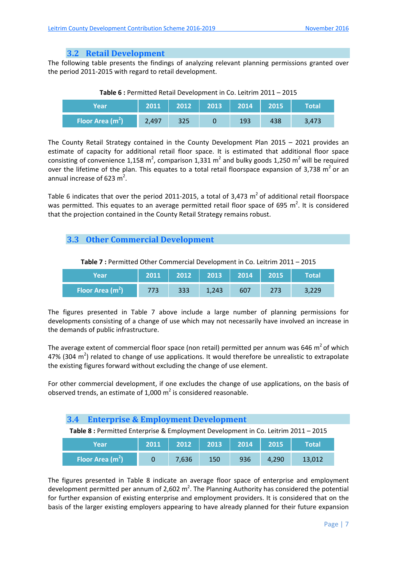#### **3.2 Retail Development**

The following table presents the findings of analyzing relevant planning permissions granted over the period 2011‐2015 with regard to retail development.

|  | Table 6 : Permitted Retail Development in Co. Leitrim 2011 - 2015 |  |  |
|--|-------------------------------------------------------------------|--|--|
|--|-------------------------------------------------------------------|--|--|

| Yearl             | 2011  |     | 2012   2013   2014 |     | 2015 | Total |
|-------------------|-------|-----|--------------------|-----|------|-------|
| Floor Area $(m2)$ | 2,497 | 325 |                    | 193 | 438  | 3,473 |

The County Retail Strategy contained in the County Development Plan 2015 – 2021 provides an estimate of capacity for additional retail floor space. It is estimated that additional floor space consisting of convenience 1,158 m<sup>2</sup>, comparison 1,331 m<sup>2</sup> and bulky goods 1,250 m<sup>2</sup> will be required over the lifetime of the plan. This equates to a total retail floorspace expansion of 3,738  $m^2$  or an annual increase of 623  $m^2$ .

Table 6 indicates that over the period 2011-2015, a total of 3,473  $m<sup>2</sup>$  of additional retail floorspace was permitted. This equates to an average permitted retail floor space of 695 m<sup>2</sup>. It is considered that the projection contained in the County Retail Strategy remains robust.

# **3.3 Other Commercial Development**

| Year               | 2011 | 2012 | 2013  | 2014 | 2015 | <b>Total</b> |
|--------------------|------|------|-------|------|------|--------------|
| Floor Area $(m^2)$ |      | 333  | 1,243 | 607  | 273  |              |

**Table 7 :** Permitted Other Commercial Development in Co. Leitrim 2011 – 2015

The figures presented in Table 7 above include a large number of planning permissions for developments consisting of a change of use which may not necessarily have involved an increase in the demands of public infrastructure.

The average extent of commercial floor space (non retail) permitted per annum was 646  $m<sup>2</sup>$  of which 47% (304 m<sup>2</sup>) related to change of use applications. It would therefore be unrealistic to extrapolate the existing figures forward without excluding the change of use element.

For other commercial development, if one excludes the change of use applications, on the basis of observed trends, an estimate of 1,000  $m^2$  is considered reasonable.

| <b>3.4</b> Enterprise & Employment Development                                     |  |  |  |  |  |  |  |  |  |
|------------------------------------------------------------------------------------|--|--|--|--|--|--|--|--|--|
| Table 8 : Permitted Enterprise & Employment Development in Co. Leitrim 2011 - 2015 |  |  |  |  |  |  |  |  |  |
|                                                                                    |  |  |  |  |  |  |  |  |  |

| Year              | 2011 | 2012  | 2013 | 2014 | 2015  | Total  |
|-------------------|------|-------|------|------|-------|--------|
| Floor Area $(m2)$ |      | 7,636 | 150  | 936  | 4.290 | 13,012 |

The figures presented in Table 8 indicate an average floor space of enterprise and employment development permitted per annum of 2,602 m<sup>2</sup>. The Planning Authority has considered the potential for further expansion of existing enterprise and employment providers. It is considered that on the basis of the larger existing employers appearing to have already planned for their future expansion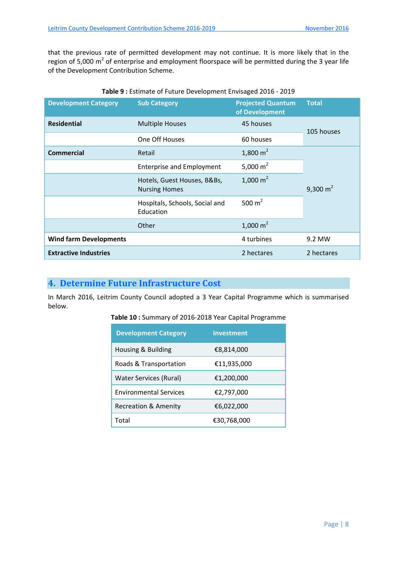that the previous rate of permitted development may not continue. It is more likely that in the region of 5,000  $m^2$  of enterprise and employment floorspace will be permitted during the 3 year life of the Development Contribution Scheme.

| <b>Development Category</b>   | <b>Sub Category</b>                                 | <b>Projected Quantum</b><br>of Development | <b>Total</b> |  |
|-------------------------------|-----------------------------------------------------|--------------------------------------------|--------------|--|
| <b>Residential</b>            | <b>Multiple Houses</b>                              | 45 houses                                  | 105 houses   |  |
|                               | One Off Houses                                      | 60 houses                                  |              |  |
| <b>Commercial</b>             | Retail                                              | 1,800 $m2$                                 |              |  |
|                               | <b>Enterprise and Employment</b>                    | 5,000 $m2$                                 |              |  |
|                               | Hotels, Guest Houses, B&Bs,<br><b>Nursing Homes</b> | 1,000 $m2$                                 | 9,300 $m2$   |  |
|                               | Hospitals, Schools, Social and<br>Education         | 500 $m2$                                   |              |  |
|                               | Other                                               | 1,000 $m2$                                 |              |  |
| <b>Wind farm Developments</b> |                                                     | 4 turbines                                 | 9.2 MW       |  |
| <b>Extractive Industries</b>  |                                                     | 2 hectares                                 | 2 hectares   |  |

#### **Table 9 :** Estimate of Future Development Envisaged 2016 ‐ 2019

# **4. Determine Future Infrastructure Cost**

In March 2016, Leitrim County Council adopted a 3 Year Capital Programme which is summarised below.

| Table 10 : Summary of 2016-2018 Year Capital Programme |  |
|--------------------------------------------------------|--|
|--------------------------------------------------------|--|

| <b>Development Category</b>     | Investment  |
|---------------------------------|-------------|
| Housing & Building              | €8,814,000  |
| Roads & Transportation          | €11,935,000 |
| Water Services (Rural)          | €1,200,000  |
| <b>Environmental Services</b>   | €2,797,000  |
| <b>Recreation &amp; Amenity</b> | €6,022,000  |
| Total                           | €30,768,000 |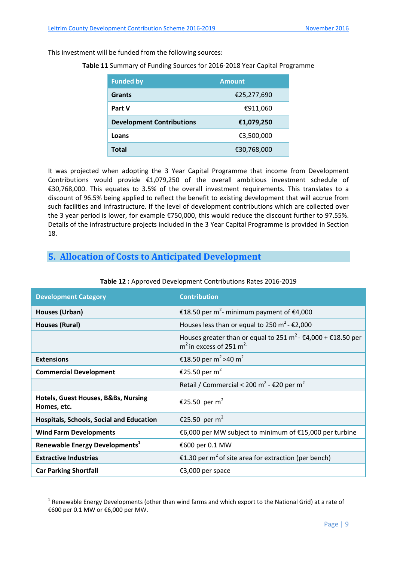This investment will be funded from the following sources:

#### **Table 11** Summary of Funding Sources for 2016‐2018 Year Capital Programme

| <b>Funded by</b>                 | <b>Amount</b> |  |
|----------------------------------|---------------|--|
| <b>Grants</b>                    | €25,277,690   |  |
| Part V                           | €911,060      |  |
| <b>Development Contributions</b> | €1,079,250    |  |
| Loans                            | €3,500,000    |  |
| <b>Total</b>                     | €30,768,000   |  |

It was projected when adopting the 3 Year Capital Programme that income from Development Contributions would provide €1,079,250 of the overall ambitious investment schedule of €30,768,000. This equates to 3.5% of the overall investment requirements. This translates to a discount of 96.5% being applied to reflect the benefit to existing development that will accrue from such facilities and infrastructure. If the level of development contributions which are collected over the 3 year period is lower, for example €750,000, this would reduce the discount further to 97.55%. Details of the infrastructure projects included in the 3 Year Capital Programme is provided in Section 18.

# **5. Allocation of Costs to Anticipated Development**

| <b>Development Category</b>                        | <b>Contribution</b>                                                                                                                   |
|----------------------------------------------------|---------------------------------------------------------------------------------------------------------------------------------------|
| Houses (Urban)                                     | €18.50 per m <sup>2</sup> - minimum payment of €4,000                                                                                 |
| <b>Houses (Rural)</b>                              | Houses less than or equal to 250 m <sup>2</sup> - $\epsilon$ 2,000                                                                    |
|                                                    | Houses greater than or equal to 251 m <sup>2</sup> - $\epsilon$ 4,000 + $\epsilon$ 18.50 per<br>$m2$ in excess of 251 m <sup>2.</sup> |
| <b>Extensions</b>                                  | €18.50 per m <sup>2</sup> > 40 m <sup>2</sup>                                                                                         |
| <b>Commercial Development</b>                      | €25.50 per m <sup>2</sup>                                                                                                             |
|                                                    | Retail / Commercial < 200 m <sup>2</sup> - $\epsilon$ 20 per m <sup>2</sup>                                                           |
| Hotels, Guest Houses, B&Bs, Nursing<br>Homes, etc. | €25.50 per m <sup>2</sup>                                                                                                             |
| <b>Hospitals, Schools, Social and Education</b>    | €25.50 per m <sup>2</sup>                                                                                                             |
| <b>Wind Farm Developments</b>                      | €6,000 per MW subject to minimum of €15,000 per turbine                                                                               |
| Renewable Energy Developments <sup>1</sup>         | €600 per 0.1 MW                                                                                                                       |
| <b>Extractive Industries</b>                       | €1.30 per m <sup>2</sup> of site area for extraction (per bench)                                                                      |
| <b>Car Parking Shortfall</b>                       | €3,000 per space                                                                                                                      |

#### **Table 12 :** Approved Development Contributions Rates 2016‐2019

1

 $1$  Renewable Energy Developments (other than wind farms and which export to the National Grid) at a rate of €600 per 0.1 MW or €6,000 per MW.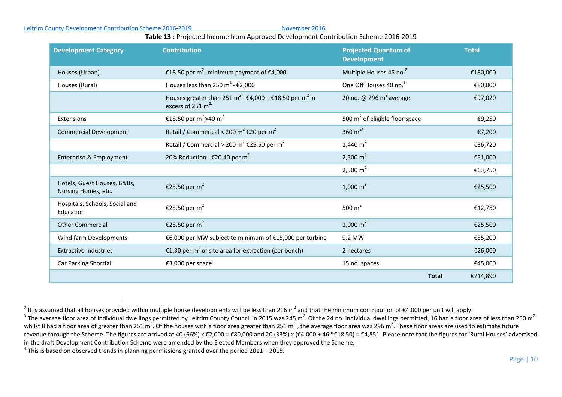#### Leitrim County Development Contribution Scheme 2016‐2019 November 2016

#### **Table 13 :** Projected Income from Approved Development Contribution Scheme 2016‐2019

| <b>Development Category</b>                        | <b>Contribution</b>                                                                                                       | <b>Projected Quantum of</b><br><b>Development</b> | <b>Total</b> |
|----------------------------------------------------|---------------------------------------------------------------------------------------------------------------------------|---------------------------------------------------|--------------|
| Houses (Urban)                                     | €18.50 per m <sup>2</sup> - minimum payment of €4,000                                                                     | Multiple Houses 45 no. <sup>2</sup>               | €180,000     |
| Houses (Rural)                                     | Houses less than 250 m <sup>2</sup> - $\epsilon$ 2,000                                                                    | One Off Houses 40 no. <sup>3</sup>                | €80,000      |
|                                                    | Houses greater than 251 m <sup>2</sup> - $\epsilon$ 4,000 + $\epsilon$ 18.50 per m <sup>2</sup> in<br>excess of 251 $m^2$ | 20 no. @ 296 $m^2$ average                        | €97,020      |
| Extensions                                         | €18.50 per m <sup>2</sup> > 40 m <sup>2</sup>                                                                             | 500 $m2$ of eligible floor space                  | €9,250       |
| <b>Commercial Development</b>                      | Retail / Commercial < 200 m <sup>2</sup> €20 per m <sup>2</sup>                                                           | 360 $m^{24}$                                      | €7,200       |
|                                                    | Retail / Commercial > 200 m <sup>2</sup> €25.50 per m <sup>2</sup>                                                        | 1,440 $m2$                                        | €36,720      |
| Enterprise & Employment                            | 20% Reduction - €20.40 per m <sup>2</sup>                                                                                 | 2,500 $m2$                                        | €51,000      |
|                                                    |                                                                                                                           | 2,500 $m2$                                        | €63,750      |
| Hotels, Guest Houses, B&Bs,<br>Nursing Homes, etc. | €25.50 per m <sup>2</sup>                                                                                                 | 1,000 $m2$                                        | €25,500      |
| Hospitals, Schools, Social and<br>Education        | €25.50 per m <sup>2</sup>                                                                                                 | 500 $m2$                                          | €12,750      |
| <b>Other Commercial</b>                            | €25.50 per m <sup>2</sup>                                                                                                 | 1,000 $m^2$                                       | €25,500      |
| Wind farm Developments                             | €6,000 per MW subject to minimum of €15,000 per turbine                                                                   | 9.2 MW                                            | €55,200      |
| <b>Extractive Industries</b>                       | €1.30 per m <sup>2</sup> of site area for extraction (per bench)                                                          | 2 hectares                                        | €26,000      |
| <b>Car Parking Shortfall</b>                       | €3,000 per space                                                                                                          | 15 no. spaces                                     | €45,000      |
|                                                    |                                                                                                                           | <b>Total</b>                                      | €714,890     |

<sup>&</sup>lt;sup>2</sup> It is assumed that all houses provided within multiple house developments will be less than 216 m<sup>2</sup> and that the minimum contribution of €4,000 per unit will apply.

<sup>&</sup>lt;sup>3</sup> The average floor area of individual dwellings permitted by Leitrim County Council in 2015 was 245 m<sup>2</sup>. Of the 24 no. individual dwellings permitted, 16 had a floor area of less than 250 m<sup>2</sup> whilst 8 had a floor area of greater than 251 m<sup>2</sup>. Of the houses with a floor area greater than 251 m<sup>2</sup>, the average floor area was 296 m<sup>2</sup>. These floor areas are used to estimate future revenue through the Scheme. The figures are arrived at 40 (66%) <sup>x</sup> €2,000 <sup>=</sup> €80,000 and 20 (33%) <sup>x</sup> (€4,000 <sup>+</sup> 46 \*€18.50) <sup>=</sup> €4,851. Please note that the figures for 'Rural Houses' advertised in the draft Development Contribution Scheme were amended by the Elected Members when they approved the Scheme.

 $^4$  This is based on observed trends in planning permissions granted over the period 2011 – 2015.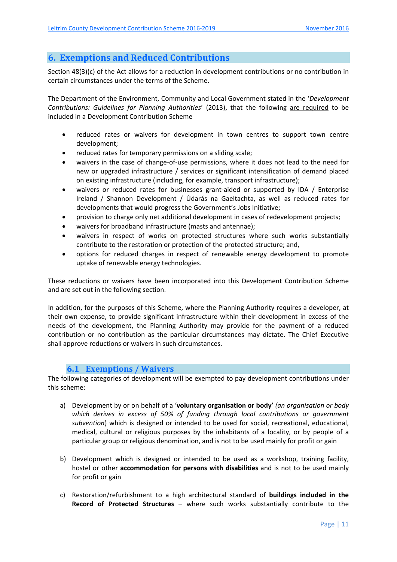# **6. Exemptions and Reduced Contributions**

Section 48(3)(c) of the Act allows for a reduction in development contributions or no contribution in certain circumstances under the terms of the Scheme.

The Department of the Environment, Community and Local Government stated in the '*Development Contributions: Guidelines for Planning Authorities*' (2013), that the following are required to be included in a Development Contribution Scheme

- reduced rates or waivers for development in town centres to support town centre development;
- reduced rates for temporary permissions on a sliding scale;
- waivers in the case of change-of-use permissions, where it does not lead to the need for new or upgraded infrastructure / services or significant intensification of demand placed on existing infrastructure (including, for example, transport infrastructure);
- waivers or reduced rates for businesses grant-aided or supported by IDA / Enterprise Ireland / Shannon Development / Údarás na Gaeltachta, as well as reduced rates for developments that would progress the Government's Jobs Initiative;
- provision to charge only net additional development in cases of redevelopment projects;
- waivers for broadband infrastructure (masts and antennae);
- waivers in respect of works on protected structures where such works substantially contribute to the restoration or protection of the protected structure; and,
- options for reduced charges in respect of renewable energy development to promote uptake of renewable energy technologies.

These reductions or waivers have been incorporated into this Development Contribution Scheme and are set out in the following section.

In addition, for the purposes of this Scheme, where the Planning Authority requires a developer, at their own expense, to provide significant infrastructure within their development in excess of the needs of the development, the Planning Authority may provide for the payment of a reduced contribution or no contribution as the particular circumstances may dictate. The Chief Executive shall approve reductions or waivers in such circumstances.

### **6.1 Exemptions / Waivers**

The following categories of development will be exempted to pay development contributions under this scheme:

- a) Development by or on behalf of a '**voluntary organisation or body'** *(an organisation or body which derives in excess of 50% of funding through local contributions or government subvention*) which is designed or intended to be used for social, recreational, educational, medical, cultural or religious purposes by the inhabitants of a locality, or by people of a particular group or religious denomination, and is not to be used mainly for profit or gain
- b) Development which is designed or intended to be used as a workshop, training facility, hostel or other **accommodation for persons with disabilities** and is not to be used mainly for profit or gain
- c) Restoration/refurbishment to a high architectural standard of **buildings included in the Record of Protected Structures** – where such works substantially contribute to the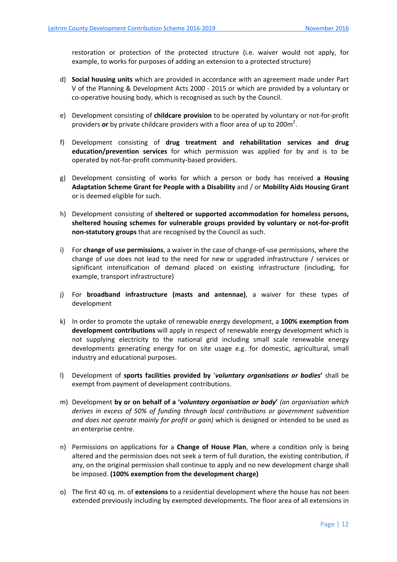restoration or protection of the protected structure (i.e. waiver would not apply, for example, to works for purposes of adding an extension to a protected structure)

- d) **Social housing units** which are provided in accordance with an agreement made under Part V of the Planning & Development Acts 2000 ‐ 2015 or which are provided by a voluntary or co-operative housing body, which is recognised as such by the Council.
- e) Development consisting of **childcare provision** to be operated by voluntary or not‐for‐profit providers or by private childcare providers with a floor area of up to 200m<sup>2</sup>.
- f) Development consisting of **drug treatment and rehabilitation services and drug education/prevention services** for which permission was applied for by and is to be operated by not‐for‐profit community‐based providers.
- g) Development consisting of works for which a person or body has received **a Housing Adaptation Scheme Grant for People with a Disability** and / or **Mobility Aids Housing Grant** or is deemed eligible for such.
- h) Development consisting of **sheltered or supported accommodation for homeless persons, sheltered housing schemes for vulnerable groups provided by voluntary or not‐for‐profit non‐statutory groups** that are recognised by the Council as such.
- i) For **change of use permissions**, a waiver in the case of change‐of‐use permissions, where the change of use does not lead to the need for new or upgraded infrastructure / services or significant intensification of demand placed on existing infrastructure (including, for example, transport infrastructure)
- j) For **broadband infrastructure (masts and antennae)**, a waiver for these types of development
- k) In order to promote the uptake of renewable energy development, a **100% exemption from development contributions** will apply in respect of renewable energy development which is not supplying electricity to the national grid including small scale renewable energy developments generating energy for on site usage e.g. for domestic, agricultural, small industry and educational purposes.
- l) Development of **sports facilities provided by** '*voluntary organisations or bodies***'** shall be exempt from payment of development contributions.
- m) Development **by or on behalf of a 'v***oluntary organisation or body***'** *(an organisation which derives in excess of 50% of funding through local contributions or government subvention and does not operate mainly for profit or gain)* which is designed or intended to be used as an enterprise centre.
- n) Permissions on applications for a **Change of House Plan**, where a condition only is being altered and the permission does not seek a term of full duration, the existing contribution, if any, on the original permission shall continue to apply and no new development charge shall be imposed. **(100% exemption from the development charge)**
- o) The first 40 sq. m. of **extensions** to a residential development where the house has not been extended previously including by exempted developments. The floor area of all extensions in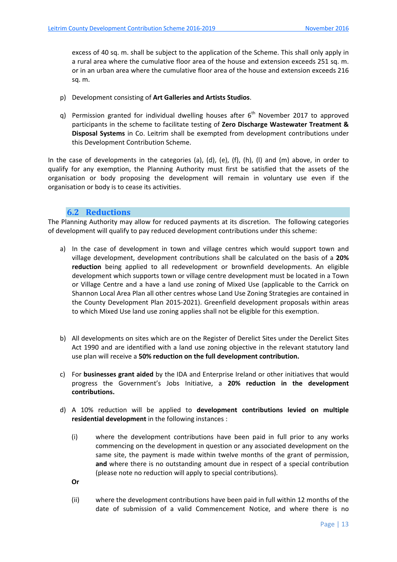excess of 40 sq. m. shall be subject to the application of the Scheme. This shall only apply in a rural area where the cumulative floor area of the house and extension exceeds 251 sq. m. or in an urban area where the cumulative floor area of the house and extension exceeds 216 sq. m.

- p) Development consisting of **Art Galleries and Artists Studios**.
- q) Permission granted for individual dwelling houses after  $6<sup>th</sup>$  November 2017 to approved participants in the scheme to facilitate testing of **Zero Discharge Wastewater Treatment & Disposal Systems** in Co. Leitrim shall be exempted from development contributions under this Development Contribution Scheme.

In the case of developments in the categories (a), (d), (e), (f), (h), (l) and (m) above, in order to qualify for any exemption, the Planning Authority must first be satisfied that the assets of the organisation or body proposing the development will remain in voluntary use even if the organisation or body is to cease its activities.

#### **6.2 Reductions**

The Planning Authority may allow for reduced payments at its discretion. The following categories of development will qualify to pay reduced development contributions under this scheme:

- a) In the case of development in town and village centres which would support town and village development, development contributions shall be calculated on the basis of a **20% reduction** being applied to all redevelopment or brownfield developments. An eligible development which supports town or village centre development must be located in a Town or Village Centre and a have a land use zoning of Mixed Use (applicable to the Carrick on Shannon Local Area Plan all other centres whose Land Use Zoning Strategies are contained in the County Development Plan 2015‐2021). Greenfield development proposals within areas to which Mixed Use land use zoning applies shall not be eligible for this exemption.
- b) All developments on sites which are on the Register of Derelict Sites under the Derelict Sites Act 1990 and are identified with a land use zoning objective in the relevant statutory land use plan will receive a **50% reduction on the full development contribution.**
- c) For **businesses grant aided** by the IDA and Enterprise Ireland or other initiatives that would progress the Government's Jobs Initiative, a **20% reduction in the development contributions.**
- d) A 10% reduction will be applied to **development contributions levied on multiple residential development** in the following instances :
	- (i) where the development contributions have been paid in full prior to any works commencing on the development in question or any associated development on the same site, the payment is made within twelve months of the grant of permission, **and** where there is no outstanding amount due in respect of a special contribution (please note no reduction will apply to special contributions).
	- **Or**
	- (ii) where the development contributions have been paid in full within 12 months of the date of submission of a valid Commencement Notice, and where there is no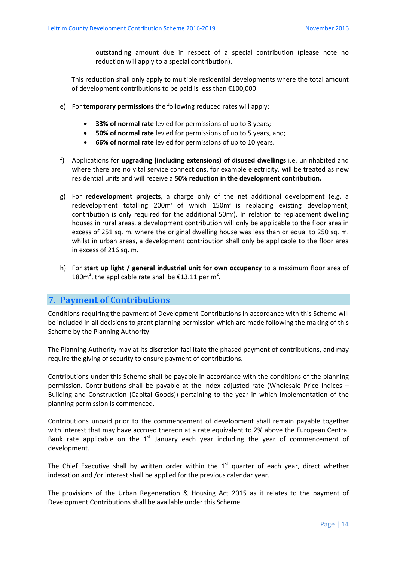outstanding amount due in respect of a special contribution (please note no reduction will apply to a special contribution).

This reduction shall only apply to multiple residential developments where the total amount of development contributions to be paid is less than €100,000.

- e) For **temporary permissions** the following reduced rates will apply;
	- **33% of normal rate** levied for permissions of up to 3 years;
	- **50% of normal rate** levied for permissions of up to 5 years, and;
	- **66% of normal rate** levied for permissions of up to 10 years.
- f) Applications for **upgrading (including extensions) of disused dwellings** i.e. uninhabited and where there are no vital service connections, for example electricity, will be treated as new residential units and will receive a **50% reduction in the development contribution.**
- g) For **redevelopment projects**, a charge only of the net additional development (e.g. a redevelopment totalling 200m<sup>2</sup> of which 150m<sup>2</sup> is replacing existing development, contribution is only required for the additional 50m<sup>2</sup>). In relation to replacement dwelling houses in rural areas, a development contribution will only be applicable to the floor area in excess of 251 sq. m. where the original dwelling house was less than or equal to 250 sq. m. whilst in urban areas, a development contribution shall only be applicable to the floor area in excess of 216 sq. m.
- h) For **start up light / general industrial unit for own occupancy** to a maximum floor area of 180 $m^2$ , the applicable rate shall be €13.11 per m<sup>2</sup>.

# **7. Payment of Contributions**

Conditions requiring the payment of Development Contributions in accordance with this Scheme will be included in all decisions to grant planning permission which are made following the making of this Scheme by the Planning Authority.

The Planning Authority may at its discretion facilitate the phased payment of contributions, and may require the giving of security to ensure payment of contributions.

Contributions under this Scheme shall be payable in accordance with the conditions of the planning permission. Contributions shall be payable at the index adjusted rate (Wholesale Price Indices – Building and Construction (Capital Goods)) pertaining to the year in which implementation of the planning permission is commenced.

Contributions unpaid prior to the commencement of development shall remain payable together with interest that may have accrued thereon at a rate equivalent to 2% above the European Central Bank rate applicable on the  $1<sup>st</sup>$  January each year including the year of commencement of development.

The Chief Executive shall by written order within the  $1<sup>st</sup>$  quarter of each year, direct whether indexation and /or interest shall be applied for the previous calendar year.

The provisions of the Urban Regeneration & Housing Act 2015 as it relates to the payment of Development Contributions shall be available under this Scheme.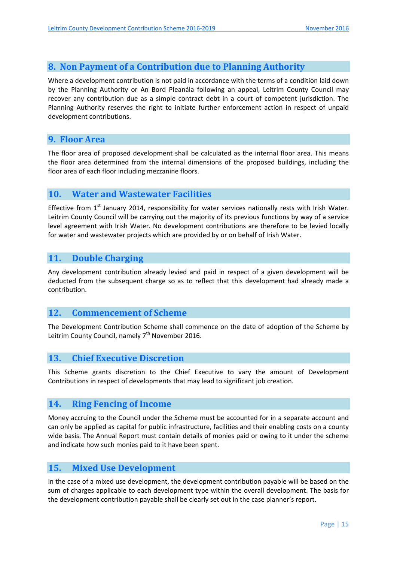# **8. Non Payment of a Contribution due to Planning Authority**

Where a development contribution is not paid in accordance with the terms of a condition laid down by the Planning Authority or An Bord Pleanála following an appeal, Leitrim County Council may recover any contribution due as a simple contract debt in a court of competent jurisdiction. The Planning Authority reserves the right to initiate further enforcement action in respect of unpaid development contributions.

## **9. Floor Area**

The floor area of proposed development shall be calculated as the internal floor area. This means the floor area determined from the internal dimensions of the proposed buildings, including the floor area of each floor including mezzanine floors.

# **10. Water and Wastewater Facilities**

Effective from  $1<sup>st</sup>$  January 2014, responsibility for water services nationally rests with Irish Water. Leitrim County Council will be carrying out the majority of its previous functions by way of a service level agreement with Irish Water. No development contributions are therefore to be levied locally for water and wastewater projects which are provided by or on behalf of Irish Water.

### **11. Double Charging**

Any development contribution already levied and paid in respect of a given development will be deducted from the subsequent charge so as to reflect that this development had already made a contribution.

### **12. Commencement of Scheme**

The Development Contribution Scheme shall commence on the date of adoption of the Scheme by Leitrim County Council, namely  $7<sup>th</sup>$  November 2016.

### **13. Chief Executive Discretion**

This Scheme grants discretion to the Chief Executive to vary the amount of Development Contributions in respect of developments that may lead to significant job creation.

### **14. Ring Fencing of Income**

Money accruing to the Council under the Scheme must be accounted for in a separate account and can only be applied as capital for public infrastructure, facilities and their enabling costs on a county wide basis. The Annual Report must contain details of monies paid or owing to it under the scheme and indicate how such monies paid to it have been spent.

### **15. Mixed Use Development**

In the case of a mixed use development, the development contribution payable will be based on the sum of charges applicable to each development type within the overall development. The basis for the development contribution payable shall be clearly set out in the case planner's report.